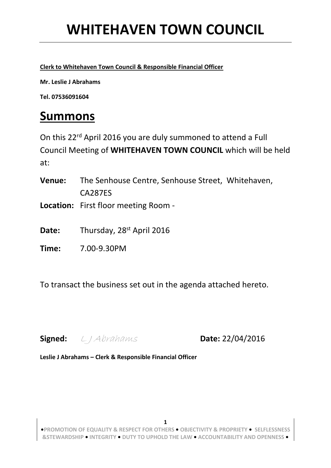**Clerk to Whitehaven Town Council & Responsible Financial Officer**

**Mr. Leslie J Abrahams** 

**Tel. 07536091604**

### **Summons**

On this 22rd April 2016 you are duly summoned to attend a Full Council Meeting of **WHITEHAVEN TOWN COUNCIL** which will be held at:

- **Venue:** The Senhouse Centre, Senhouse Street, Whitehaven, CA287ES
- **Location:** First floor meeting Room -
- Date: Thursday, 28<sup>st</sup> April 2016
- **Time:** 7.00-9.30PM

To transact the business set out in the agenda attached hereto.

**Signed:** L J Abrahams **Date:** 22/04/2016

**Leslie J Abrahams – Clerk & Responsible Financial Officer**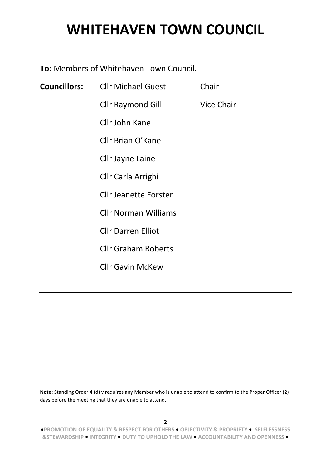**To:** Members of Whitehaven Town Council.

| <b>Councillors:</b> Cllr Michael Guest - |                                 | Chair             |
|------------------------------------------|---------------------------------|-------------------|
| <b>Cllr Raymond Gill</b>                 | $\frac{1}{2}$ and $\frac{1}{2}$ | <b>Vice Chair</b> |
| Cllr John Kane                           |                                 |                   |
| Cllr Brian O'Kane                        |                                 |                   |
| Cllr Jayne Laine                         |                                 |                   |
| Cllr Carla Arrighi                       |                                 |                   |
| <b>Cllr Jeanette Forster</b>             |                                 |                   |
| <b>Cllr Norman Williams</b>              |                                 |                   |
| <b>Cllr Darren Elliot</b>                |                                 |                   |
| <b>Cllr Graham Roberts</b>               |                                 |                   |
| <b>Cllr Gavin McKew</b>                  |                                 |                   |

**Note:** Standing Order 4 (d) v requires any Member who is unable to attend to confirm to the Proper Officer (2) days before the meeting that they are unable to attend.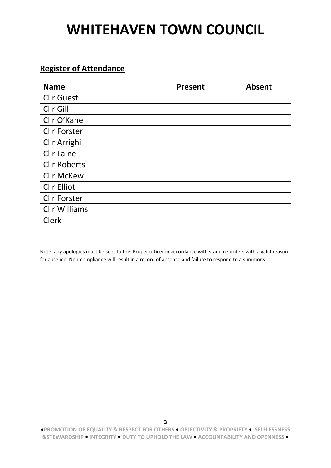#### **Register of Attendance**

| <b>Name</b>          | <b>Present</b> | <b>Absent</b> |
|----------------------|----------------|---------------|
| <b>Cllr Guest</b>    |                |               |
| Cllr Gill            |                |               |
| Cllr O'Kane          |                |               |
| <b>Cllr Forster</b>  |                |               |
| Cllr Arrighi         |                |               |
| <b>Cllr Laine</b>    |                |               |
| <b>Cllr Roberts</b>  |                |               |
| <b>Cllr McKew</b>    |                |               |
| <b>Cllr Elliot</b>   |                |               |
| <b>Cllr Forster</b>  |                |               |
| <b>Cllr Williams</b> |                |               |
| <b>Clerk</b>         |                |               |
|                      |                |               |
|                      |                |               |

Note: any apologies must be sent to the Proper officer in accordance with standing orders with a valid reason for absence. Non-compliance will result in a record of absence and failure to respond to a summons.

**•PROMOTION OF EQUALITY & RESPECT FOR OTHERS • OBJECTIVITY & PROPRIETY • SELFLESSNESS &STEWARDSHIP • INTEGRITY • DUTY TO UPHOLD THE LAW • ACCOUNTABILITY AND OPENNESS •**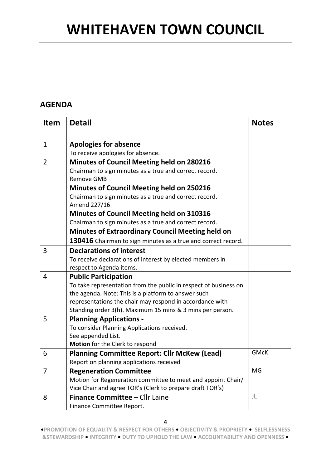#### **AGENDA**

| <b>Item</b>    | <b>Detail</b>                                                          | <b>Notes</b> |
|----------------|------------------------------------------------------------------------|--------------|
|                |                                                                        |              |
| $\mathbf{1}$   | <b>Apologies for absence</b>                                           |              |
|                | To receive apologies for absence.                                      |              |
| $\overline{2}$ | <b>Minutes of Council Meeting held on 280216</b>                       |              |
|                | Chairman to sign minutes as a true and correct record.                 |              |
|                | <b>Remove GMB</b>                                                      |              |
|                | <b>Minutes of Council Meeting held on 250216</b>                       |              |
|                | Chairman to sign minutes as a true and correct record.<br>Amend 227/16 |              |
|                | <b>Minutes of Council Meeting held on 310316</b>                       |              |
|                | Chairman to sign minutes as a true and correct record.                 |              |
|                | <b>Minutes of Extraordinary Council Meeting held on</b>                |              |
|                | 130416 Chairman to sign minutes as a true and correct record.          |              |
| 3              | <b>Declarations of interest</b>                                        |              |
|                | To receive declarations of interest by elected members in              |              |
|                | respect to Agenda items.                                               |              |
| 4              | <b>Public Participation</b>                                            |              |
|                | To take representation from the public in respect of business on       |              |
|                | the agenda. Note: This is a platform to answer such                    |              |
|                | representations the chair may respond in accordance with               |              |
|                | Standing order 3(h). Maximum 15 mins & 3 mins per person.              |              |
| 5              | <b>Planning Applications -</b>                                         |              |
|                | To consider Planning Applications received.                            |              |
|                | See appended List.                                                     |              |
|                | Motion for the Clerk to respond                                        | <b>GMcK</b>  |
| 6              | <b>Planning Committee Report: Cllr McKew (Lead)</b>                    |              |
|                | Report on planning applications received                               |              |
| 7              | <b>Regeneration Committee</b>                                          | MG           |
|                | Motion for Regeneration committee to meet and appoint Chair/           |              |
|                | Vice Chair and agree TOR's (Clerk to prepare draft TOR's)              | JL           |
| 8              | <b>Finance Committee - Cllr Laine</b>                                  |              |
|                | Finance Committee Report.                                              |              |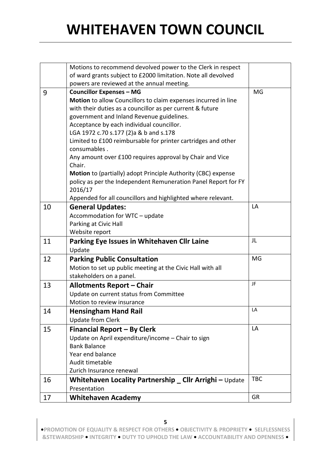|    | Motions to recommend devolved power to the Clerk in respect                            |            |
|----|----------------------------------------------------------------------------------------|------------|
|    | of ward grants subject to £2000 limitation. Note all devolved                          |            |
|    | powers are reviewed at the annual meeting.                                             |            |
| 9  | <b>Councillor Expenses - MG</b>                                                        | MG         |
|    | Motion to allow Councillors to claim expenses incurred in line                         |            |
|    | with their duties as a councillor as per current & future                              |            |
|    | government and Inland Revenue guidelines.                                              |            |
|    | Acceptance by each individual councillor.                                              |            |
|    | LGA 1972 c.70 s.177 (2)a & b and s.178                                                 |            |
|    | Limited to £100 reimbursable for printer cartridges and other                          |            |
|    | consumables.                                                                           |            |
|    | Any amount over £100 requires approval by Chair and Vice                               |            |
|    | Chair.                                                                                 |            |
|    | Motion to (partially) adopt Principle Authority (CBC) expense                          |            |
|    | policy as per the Independent Remuneration Panel Report for FY<br>2016/17              |            |
|    | Appended for all councillors and highlighted where relevant.                           |            |
| 10 |                                                                                        | LA         |
|    | <b>General Updates:</b>                                                                |            |
|    | Accommodation for WTC - update<br>Parking at Civic Hall                                |            |
|    | Website report                                                                         |            |
| 11 | Parking Eye Issues in Whitehaven Cllr Laine                                            | JL         |
|    | Update                                                                                 |            |
| 12 |                                                                                        | <b>MG</b>  |
|    | <b>Parking Public Consultation</b>                                                     |            |
|    | Motion to set up public meeting at the Civic Hall with all<br>stakeholders on a panel. |            |
|    |                                                                                        | JF         |
| 13 | <b>Allotments Report - Chair</b>                                                       |            |
|    | Update on current status from Committee                                                |            |
|    | Motion to review insurance                                                             | LA         |
| 14 | <b>Hensingham Hand Rail</b>                                                            |            |
|    | <b>Update from Clerk</b>                                                               |            |
| 15 | Financial Report - By Clerk                                                            | LA         |
|    | Update on April expenditure/income - Chair to sign                                     |            |
|    | <b>Bank Balance</b>                                                                    |            |
|    | Year end balance                                                                       |            |
|    | Audit timetable                                                                        |            |
|    | Zurich Insurance renewal                                                               |            |
| 16 | Whitehaven Locality Partnership _ Cllr Arrighi - Update                                | <b>TBC</b> |
|    | Presentation                                                                           |            |
| 17 | <b>Whitehaven Academy</b>                                                              | <b>GR</b>  |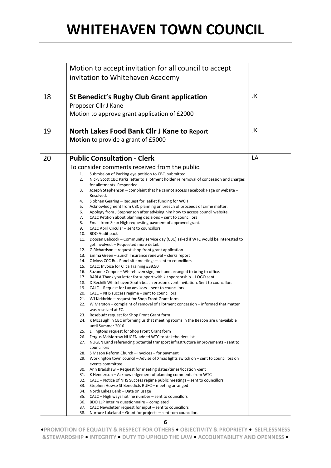|    | Motion to accept invitation for all council to accept                                                                                            |    |
|----|--------------------------------------------------------------------------------------------------------------------------------------------------|----|
|    | invitation to Whitehaven Academy                                                                                                                 |    |
|    |                                                                                                                                                  |    |
|    |                                                                                                                                                  |    |
| 18 | <b>St Benedict's Rugby Club Grant application</b>                                                                                                | JK |
|    | Proposer Cllr J Kane                                                                                                                             |    |
|    | Motion to approve grant application of £2000                                                                                                     |    |
|    |                                                                                                                                                  |    |
| 19 | <b>North Lakes Food Bank Cllr J Kane to Report</b>                                                                                               | JK |
|    | Motion to provide a grant of £5000                                                                                                               |    |
|    |                                                                                                                                                  |    |
|    |                                                                                                                                                  |    |
| 20 | <b>Public Consultation - Clerk</b>                                                                                                               | LA |
|    | To consider comments received from the public.                                                                                                   |    |
|    | Submission of Parking eye petition to CBC. submitted<br>1.                                                                                       |    |
|    | Nicky Scott CBC Parks letter to allotment holder re removal of concession and charges<br>2.                                                      |    |
|    | for allotments. Responded                                                                                                                        |    |
|    | Joseph Stephenson - complaint that he cannot access Facebook Page or website -<br>3.<br>Resolved.                                                |    |
|    | Siobhan Gearing - Request for leaflet funding for WCH<br>4.                                                                                      |    |
|    | Acknowledgment from CBC planning on breach of proceeds of crime matter.<br>5.                                                                    |    |
|    | 6.<br>Apology from J Stephenson after advising him how to access council website.                                                                |    |
|    | CALC Petition about planning decisions - sent to councillors<br>7.                                                                               |    |
|    | 8.<br>Email from Sean High requesting payment of approved grant.                                                                                 |    |
|    | 9.<br>CALC April Circular – sent to councillors<br>10. BDO Audit pack                                                                            |    |
|    | 11. Doosan Babcock – Community service day (CBC) asked if WTC would be interested to                                                             |    |
|    | get involved. - Requested more detail.                                                                                                           |    |
|    | 12. G Richardson – request shop front grant application                                                                                          |    |
|    | 13. Emma Green - Zurich Insurance renewal - clerks report                                                                                        |    |
|    | 14. C Moss CCC Bus Panel site meetings – sent to councillors                                                                                     |    |
|    | 15. CALC: Invoice for Cilca Training £39.50<br>16. Suzanne Cooper – Whitehaven sign, met and arranged to bring to office.                        |    |
|    | 17. BARLA Thank you letter for support with kit sponsorship – LOGO sent                                                                          |    |
|    | 18. D Bechilli Whitehaven South beach erosion event invitation. Sent to councillors                                                              |    |
|    | 19. CALC – Request for Lay advisors – sent to councillors                                                                                        |    |
|    | 20. CALC – NHS success regime – sent to councillors                                                                                              |    |
|    | 21. WJ Kirkbride – request for Shop Front Grant form                                                                                             |    |
|    | 22. W Marston – complaint of removal of allotment concession – informed that matter<br>was resolved at FC.                                       |    |
|    | 23. Rosebudz request for Shop Front Grant form                                                                                                   |    |
|    | 24. K McLaughlin CBC informing us that meeting rooms in the Beacon are unavailable                                                               |    |
|    | until Summer 2016                                                                                                                                |    |
|    | 25. Lillingtons request for Shop Front Grant form                                                                                                |    |
|    | 26. Fergus McMorrow NUGEN added WTC to stakeholders list<br>27. NUGEN Land referencing potential transport infrastructure improvements - sent to |    |
|    | councillors                                                                                                                                      |    |
|    | 28. S Mason Reform Church - Invoices - for payment                                                                                               |    |
|    | 29. Workington town council – Advise of Xmas lights switch on – sent to councillors on                                                           |    |
|    | events committee                                                                                                                                 |    |
|    | 30. Ann Bradshaw – Request for meeting dates/times/location -sent                                                                                |    |
|    | 31. K Henderson – Acknowledgement of planning comments from WTC<br>32. CALC – Notice of NHS Success regime public meetings – sent to councillors |    |
|    | 33. Stephen Howse St Benedicts RUFC - meeting arranged                                                                                           |    |
|    | 34. North Lakes Bank - Data on usage                                                                                                             |    |
|    | 35. CALC – High ways hotline number – sent to councillors                                                                                        |    |
|    | 36. BDO LLP Interim questionnaire - completed                                                                                                    |    |
|    | 37. CALC Newsletter request for input – sent to councillors                                                                                      |    |
|    | 38.<br>Nurture Lakeland – Grant for projects – sent tom councillors                                                                              |    |

**6**

**•PROMOTION OF EQUALITY & RESPECT FOR OTHERS • OBJECTIVITY & PROPRIETY • SELFLESSNESS &STEWARDSHIP • INTEGRITY • DUTY TO UPHOLD THE LAW • ACCOUNTABILITY AND OPENNESS •**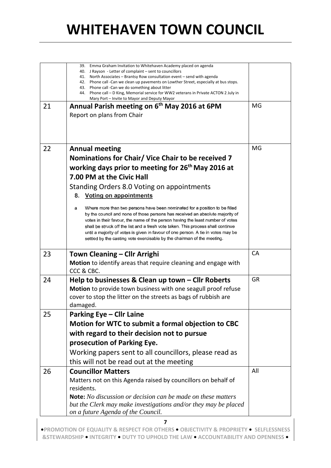|    | 39. Emma Graham Invitation to Whitehaven Academy placed on agenda<br>40. J Rayson - Letter of complaint – sent to councillors<br>41. North Associates – Brantsy Row consultation event – send with agenda<br>42. Phone call -Can we clean up pavements on Lowther Street, especially at bus stops.                                                                                                                                                                                                      |           |
|----|---------------------------------------------------------------------------------------------------------------------------------------------------------------------------------------------------------------------------------------------------------------------------------------------------------------------------------------------------------------------------------------------------------------------------------------------------------------------------------------------------------|-----------|
|    | 43. Phone call - Can we do something about litter<br>44. Phone call – D King, Memorial service for WW2 veterans in Private ACTON 2 July in<br>Mary Port - Invite to Mayor and Deputy Mayor                                                                                                                                                                                                                                                                                                              |           |
| 21 | Annual Parish meeting on 6 <sup>th</sup> May 2016 at 6PM                                                                                                                                                                                                                                                                                                                                                                                                                                                | MG        |
|    | Report on plans from Chair                                                                                                                                                                                                                                                                                                                                                                                                                                                                              |           |
|    |                                                                                                                                                                                                                                                                                                                                                                                                                                                                                                         |           |
| 22 | <b>Annual meeting</b>                                                                                                                                                                                                                                                                                                                                                                                                                                                                                   | MG        |
|    | Nominations for Chair/ Vice Chair to be received 7                                                                                                                                                                                                                                                                                                                                                                                                                                                      |           |
|    | working days prior to meeting for 26 <sup>th</sup> May 2016 at                                                                                                                                                                                                                                                                                                                                                                                                                                          |           |
|    | 7.00 PM at the Civic Hall                                                                                                                                                                                                                                                                                                                                                                                                                                                                               |           |
|    | Standing Orders 8.0 Voting on appointments                                                                                                                                                                                                                                                                                                                                                                                                                                                              |           |
|    | <b>Voting on appointments</b><br>8.                                                                                                                                                                                                                                                                                                                                                                                                                                                                     |           |
|    | Where more than two persons have been nominated for a position to be filled<br>a<br>by the council and none of those persons has received an absolute majority of<br>votes in their favour, the name of the person having the least number of votes<br>shall be struck off the list and a fresh vote taken. This process shall continue<br>until a majority of votes is given in favour of one person. A tie in votes may be<br>settled by the casting vote exercisable by the chairman of the meeting. |           |
| 23 | Town Cleaning – Cllr Arrighi                                                                                                                                                                                                                                                                                                                                                                                                                                                                            | CA        |
|    | Motion to identify areas that require cleaning and engage with                                                                                                                                                                                                                                                                                                                                                                                                                                          |           |
|    | CCC & CBC.                                                                                                                                                                                                                                                                                                                                                                                                                                                                                              |           |
| 24 | Help to businesses & Clean up town - Cllr Roberts                                                                                                                                                                                                                                                                                                                                                                                                                                                       | <b>GR</b> |
|    | Motion to provide town business with one seagull proof refuse                                                                                                                                                                                                                                                                                                                                                                                                                                           |           |
|    | cover to stop the litter on the streets as bags of rubbish are<br>damaged.                                                                                                                                                                                                                                                                                                                                                                                                                              |           |
| 25 | <b>Parking Eye - Cllr Laine</b>                                                                                                                                                                                                                                                                                                                                                                                                                                                                         |           |
|    | Motion for WTC to submit a formal objection to CBC                                                                                                                                                                                                                                                                                                                                                                                                                                                      |           |
|    | with regard to their decision not to pursue                                                                                                                                                                                                                                                                                                                                                                                                                                                             |           |
|    | prosecution of Parking Eye.                                                                                                                                                                                                                                                                                                                                                                                                                                                                             |           |
|    | Working papers sent to all councillors, please read as                                                                                                                                                                                                                                                                                                                                                                                                                                                  |           |
|    | this will not be read out at the meeting                                                                                                                                                                                                                                                                                                                                                                                                                                                                |           |
| 26 | <b>Councillor Matters</b>                                                                                                                                                                                                                                                                                                                                                                                                                                                                               | All       |
|    | Matters not on this Agenda raised by councillors on behalf of                                                                                                                                                                                                                                                                                                                                                                                                                                           |           |
|    | residents.                                                                                                                                                                                                                                                                                                                                                                                                                                                                                              |           |
|    | <b>Note:</b> No discussion or decision can be made on these matters<br>but the Clerk may make investigations and/or they may be placed                                                                                                                                                                                                                                                                                                                                                                  |           |
|    | on a future Agenda of the Council.                                                                                                                                                                                                                                                                                                                                                                                                                                                                      |           |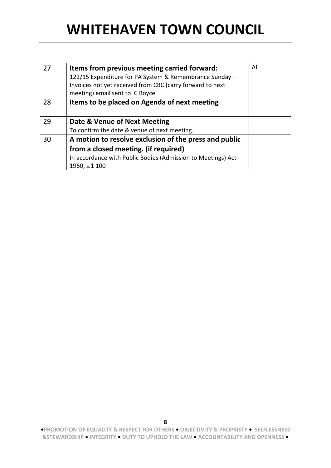| 27 | Items from previous meeting carried forward:<br>122/15 Expenditure for PA System & Remembrance Sunday -<br>Invoices not yet received from CBC (carry forward to next<br>meeting) email sent to C Boyce | All |
|----|--------------------------------------------------------------------------------------------------------------------------------------------------------------------------------------------------------|-----|
| 28 | Items to be placed on Agenda of next meeting                                                                                                                                                           |     |
| 29 | Date & Venue of Next Meeting<br>To confirm the date & venue of next meeting.                                                                                                                           |     |
| 30 | A motion to resolve exclusion of the press and public<br>from a closed meeting. (if required)<br>In accordance with Public Bodies (Admission to Meetings) Act<br>1960, s.1 100                         |     |